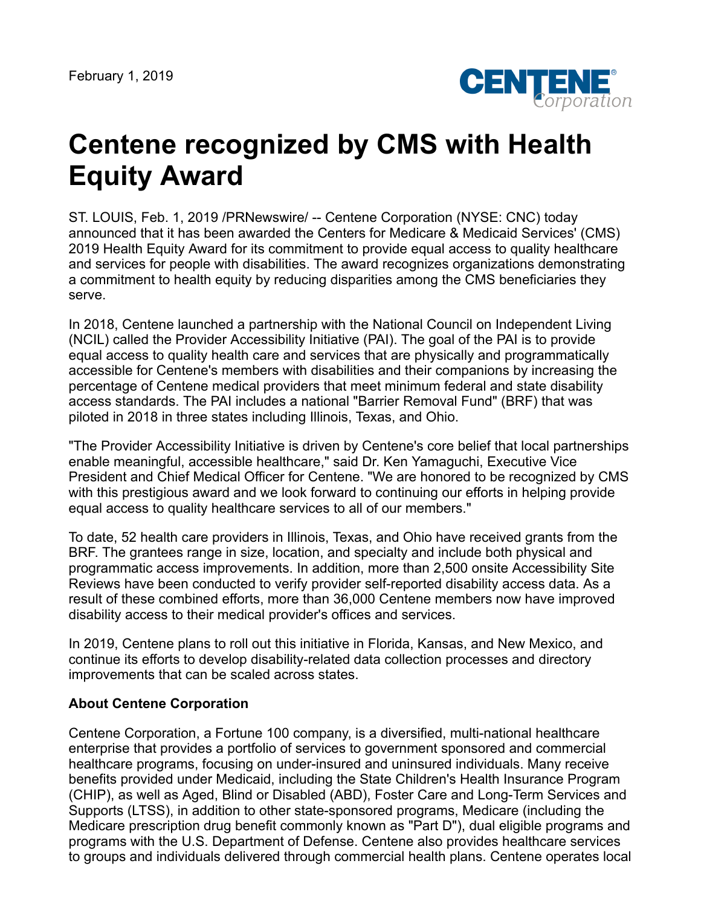

## **Centene recognized by CMS with Health Equity Award**

ST. LOUIS, Feb. 1, 2019 /PRNewswire/ -- Centene Corporation (NYSE: CNC) today announced that it has been awarded the Centers for Medicare & Medicaid Services' (CMS) 2019 Health Equity Award for its commitment to provide equal access to quality healthcare and services for people with disabilities. The award recognizes organizations demonstrating a commitment to health equity by reducing disparities among the CMS beneficiaries they serve.

In 2018, Centene launched a partnership with the National Council on Independent Living (NCIL) called the Provider Accessibility Initiative (PAI). The goal of the PAI is to provide equal access to quality health care and services that are physically and programmatically accessible for Centene's members with disabilities and their companions by increasing the percentage of Centene medical providers that meet minimum federal and state disability access standards. The PAI includes a national "Barrier Removal Fund" (BRF) that was piloted in 2018 in three states including Illinois, Texas, and Ohio.

"The Provider Accessibility Initiative is driven by Centene's core belief that local partnerships enable meaningful, accessible healthcare," said Dr. Ken Yamaguchi, Executive Vice President and Chief Medical Officer for Centene. "We are honored to be recognized by CMS with this prestigious award and we look forward to continuing our efforts in helping provide equal access to quality healthcare services to all of our members."

To date, 52 health care providers in Illinois, Texas, and Ohio have received grants from the BRF. The grantees range in size, location, and specialty and include both physical and programmatic access improvements. In addition, more than 2,500 onsite Accessibility Site Reviews have been conducted to verify provider self-reported disability access data. As a result of these combined efforts, more than 36,000 Centene members now have improved disability access to their medical provider's offices and services.

In 2019, Centene plans to roll out this initiative in Florida, Kansas, and New Mexico, and continue its efforts to develop disability-related data collection processes and directory improvements that can be scaled across states.

## **About Centene Corporation**

Centene Corporation, a Fortune 100 company, is a diversified, multi-national healthcare enterprise that provides a portfolio of services to government sponsored and commercial healthcare programs, focusing on under-insured and uninsured individuals. Many receive benefits provided under Medicaid, including the State Children's Health Insurance Program (CHIP), as well as Aged, Blind or Disabled (ABD), Foster Care and Long-Term Services and Supports (LTSS), in addition to other state-sponsored programs, Medicare (including the Medicare prescription drug benefit commonly known as "Part D"), dual eligible programs and programs with the U.S. Department of Defense. Centene also provides healthcare services to groups and individuals delivered through commercial health plans. Centene operates local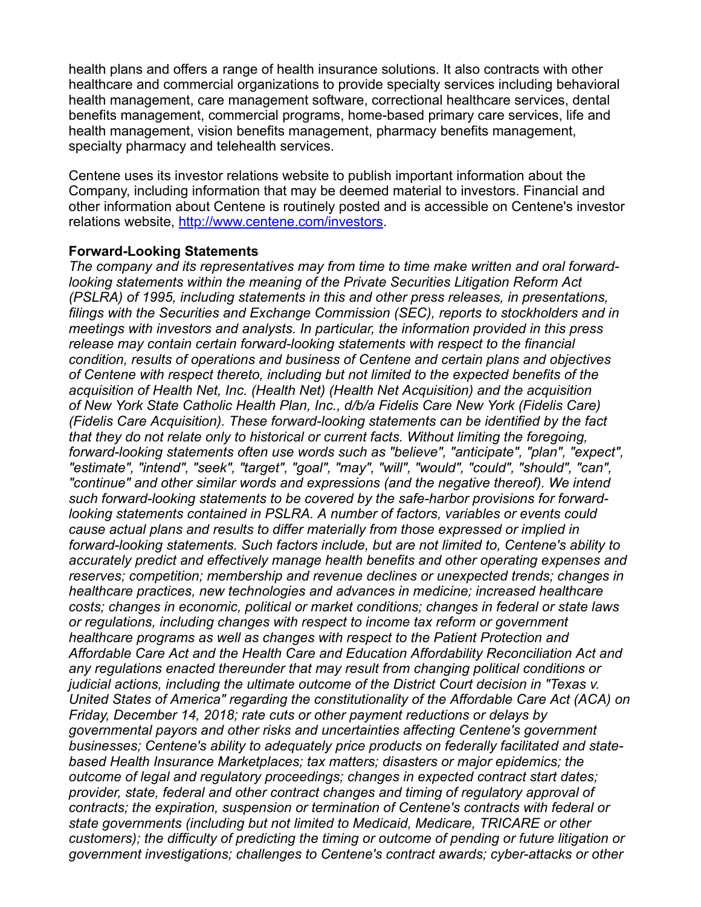health plans and offers a range of health insurance solutions. It also contracts with other healthcare and commercial organizations to provide specialty services including behavioral health management, care management software, correctional healthcare services, dental benefits management, commercial programs, home-based primary care services, life and health management, vision benefits management, pharmacy benefits management, specialty pharmacy and telehealth services.

Centene uses its investor relations website to publish important information about the Company, including information that may be deemed material to investors. Financial and other information about Centene is routinely posted and is accessible on Centene's investor relations website, <http://www.centene.com/investors>.

## **Forward-Looking Statements**

*The company and its representatives may from time to time make written and oral forwardlooking statements within the meaning of the Private Securities Litigation Reform Act (PSLRA) of 1995, including statements in this and other press releases, in presentations, filings with the Securities and Exchange Commission (SEC), reports to stockholders and in meetings with investors and analysts. In particular, the information provided in this press release may contain certain forward-looking statements with respect to the financial condition, results of operations and business of Centene and certain plans and objectives of Centene with respect thereto, including but not limited to the expected benefits of the acquisition of Health Net, Inc. (Health Net) (Health Net Acquisition) and the acquisition of New York State Catholic Health Plan, Inc., d/b/a Fidelis Care New York (Fidelis Care) (Fidelis Care Acquisition). These forward-looking statements can be identified by the fact that they do not relate only to historical or current facts. Without limiting the foregoing, forward-looking statements often use words such as "believe", "anticipate", "plan", "expect", "estimate", "intend", "seek", "target", "goal", "may", "will", "would", "could", "should", "can", "continue" and other similar words and expressions (and the negative thereof). We intend such forward-looking statements to be covered by the safe-harbor provisions for forwardlooking statements contained in PSLRA. A number of factors, variables or events could cause actual plans and results to differ materially from those expressed or implied in forward-looking statements. Such factors include, but are not limited to, Centene's ability to accurately predict and effectively manage health benefits and other operating expenses and reserves; competition; membership and revenue declines or unexpected trends; changes in healthcare practices, new technologies and advances in medicine; increased healthcare costs; changes in economic, political or market conditions; changes in federal or state laws or regulations, including changes with respect to income tax reform or government healthcare programs as well as changes with respect to the Patient Protection and Affordable Care Act and the Health Care and Education Affordability Reconciliation Act and any regulations enacted thereunder that may result from changing political conditions or judicial actions, including the ultimate outcome of the District Court decision in "Texas v. United States of America" regarding the constitutionality of the Affordable Care Act (ACA) on Friday, December 14, 2018; rate cuts or other payment reductions or delays by governmental payors and other risks and uncertainties affecting Centene's government businesses; Centene's ability to adequately price products on federally facilitated and statebased Health Insurance Marketplaces; tax matters; disasters or major epidemics; the outcome of legal and regulatory proceedings; changes in expected contract start dates; provider, state, federal and other contract changes and timing of regulatory approval of contracts; the expiration, suspension or termination of Centene's contracts with federal or state governments (including but not limited to Medicaid, Medicare, TRICARE or other customers); the difficulty of predicting the timing or outcome of pending or future litigation or government investigations; challenges to Centene's contract awards; cyber-attacks or other*